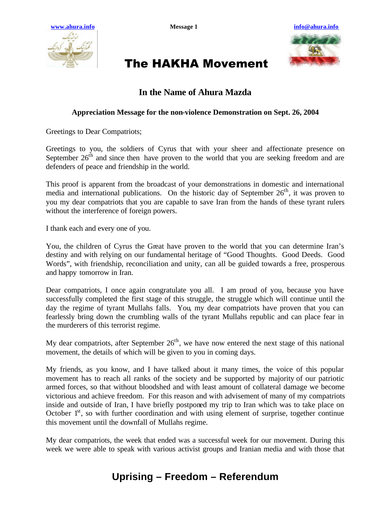



# The HAKHA Movement

### **In the Name of Ahura Mazda**

#### **Appreciation Message for the non-violence Demonstration on Sept. 26, 2004**

Greetings to Dear Compatriots;

Greetings to you, the soldiers of Cyrus that with your sheer and affectionate presence on September  $26<sup>th</sup>$  and since then have proven to the world that you are seeking freedom and are defenders of peace and friendship in the world.

This proof is apparent from the broadcast of your demonstrations in domestic and international media and international publications. On the historic day of September  $26<sup>th</sup>$ , it was proven to you my dear compatriots that you are capable to save Iran from the hands of these tyrant rulers without the interference of foreign powers.

I thank each and every one of you.

You, the children of Cyrus the Great have proven to the world that you can determine Iran's destiny and with relying on our fundamental heritage of "Good Thoughts. Good Deeds. Good Words", with friendship, reconciliation and unity, can all be guided towards a free, prosperous and happy tomorrow in Iran.

Dear compatriots, I once again congratulate you all. I am proud of you, because you have successfully completed the first stage of this struggle, the struggle which will continue until the day the regime of tyrant Mullahs falls. You, my dear compatriots have proven that you can fearlessly bring down the crumbling walls of the tyrant Mullahs republic and can place fear in the murderers of this terrorist regime.

My dear compatriots, after September  $26<sup>th</sup>$ , we have now entered the next stage of this national movement, the details of which will be given to you in coming days.

My friends, as you know, and I have talked about it many times, the voice of this popular movement has to reach all ranks of the society and be supported by majority of our patriotic armed forces, so that without bloodshed and with least amount of collateral damage we become victorious and achieve freedom. For this reason and with advisement of many of my compatriots inside and outside of Iran, I have briefly postponed my trip to Iran which was to take place on October  $1<sup>st</sup>$ , so with further coordination and with using element of surprise, together continue this movement until the downfall of Mullahs regime.

My dear compatriots, the week that ended was a successful week for our movement. During this week we were able to speak with various activist groups and Iranian media and with those that

### **Uprising – Freedom – Referendum**